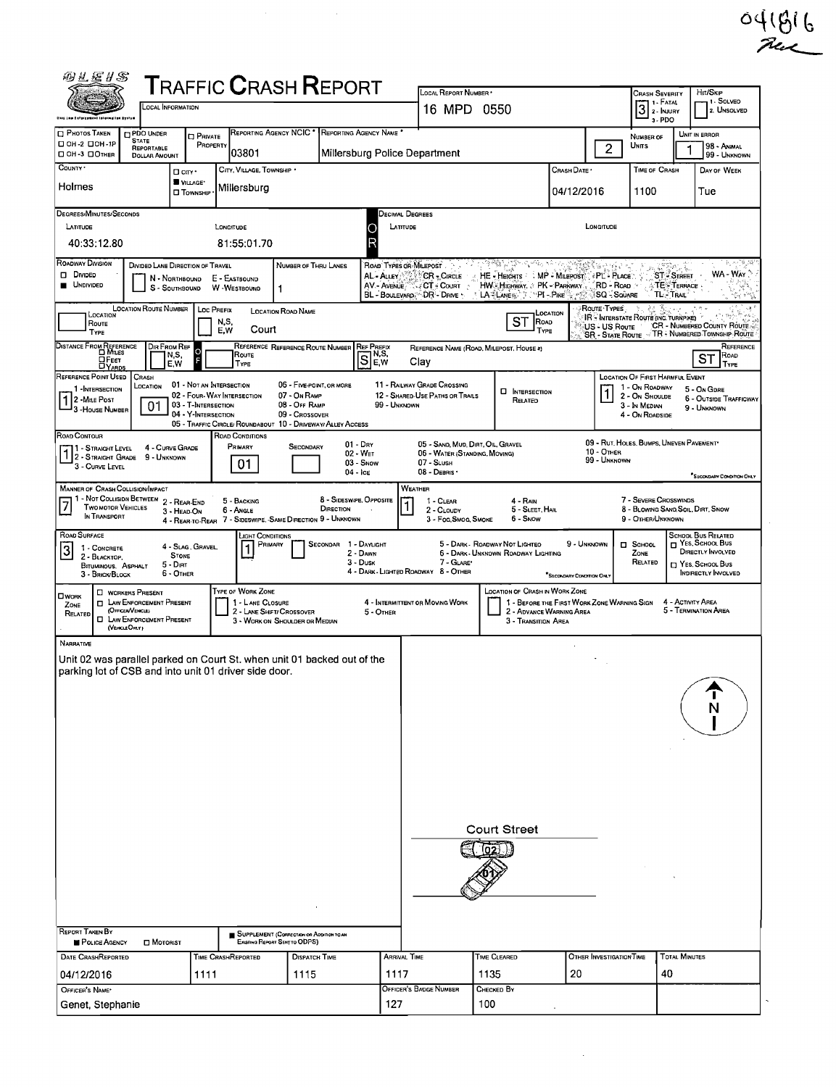| 羽叉运月念<br><b>TRAFFIC CRASH REPORT</b><br>LOCAL REPORT NUMBER<br>HIT/SKIP<br><b>CRASH SEVERITY</b><br>1 I - Solveo<br>3 <sup>1. F</sup> ATAT<br><b>LOCAL INFORMATION</b><br>16 MPD 0550<br>2. UNSOLVED<br>3-PDO<br>al iniquesitat Eyatum<br>REPORTING AGENCY NCIC * REPORTING AGENCY NAME *<br><b>D PDO UNDER</b><br>UNIT IN ERROR<br><b>D</b> PRIVATE<br>NUMBER OF<br><b>STATE</b><br>PROPERTY<br><b>UNITS</b><br>98 - ANIMAL<br>$\overline{2}$<br>REPORTABLE<br>103801<br>Millersburg Police Department<br>99 - UNKNOWN<br><b>DOLLAR AMOUNT</b><br>CITY, VILLAGE, TOWNSHIP<br>TIME OF CRASH<br>CRASH DATE *<br>DAY OF WEEK<br>□ cm·<br>VILLAGE*<br>Millersburg<br>04/12/2016<br>1100<br>Tue<br><b>O</b> TOWNSHIP<br>DEGREES/MINUTES/SECONDS<br><b>DECIMAL DEGREES</b><br>LONGITUDE<br>LATITUDE<br>LATITUDE<br>LONGITUDE<br>C<br>R<br>40:33:12.80<br>81:55:01.70<br>112 폴 남북 - 인터넷 2016<br>ROAD TYPES OR MILEPOST<br>DIVIDED LANE DIRECTION OF TRAVEL<br>NUMBER OF THRU LANES<br>WA - WAY<br><b>ST-STREET</b><br>AL - ALLEY<br><b>CR</b> - CIRCLE<br>HE - HEIGHTS MP - MILEPOST PL - PLACE<br>N - NORTHBOUND<br>E - EASTBOUND<br><b>TE-TERRACE</b><br>AV - AVENUE<br>CT - Court<br>HW HIGHWAY, PK - PARKWAY<br>RD - Road<br>W -WESTBOUND<br>S - SOUTHBOUND<br>TL-TRAI<br>BL - BOULEVARD<br>DR - DRME *<br>LA "LANES" ">PI - PIKE" (1999)<br>SQ - Souare<br><b>LOCATION ROUTE NUMBER</b><br>Route Types<br><b>LOC PREFIX</b><br><b>LOCATION ROAD NAME</b><br>LOCATION<br>LOCATION<br>IR - INTERSTATE ROUTE (INC. TURNPIKE)<br>ST ROAD<br>N,S,<br>ROUTE<br>CR - NUMBERED COUNTY ROUTE<br>US - US Route<br>E, W<br>Court<br>TYPE<br>TYPE<br>- TR - NUMBERED TOWNSHIP ROUTE<br><b>SR - STATE ROUTE</b><br>DISTANCE FROM REFERENCE<br>DIR FROM REF<br>REFERENCE REFERENCE ROUTE NUMBER REF PREEIX<br>REFERENCE<br>REFERENCE NAME (ROAD, MILEPOST, HOUSE #)<br>lo<br>SE,w<br>N,S,<br>Route<br>$ST$ <sup>Roap</sup><br>$\Box$ Feet<br>Clay<br>E,W<br>TYPE<br>TYPE<br><b>DYARDS</b><br>LOCATION OF FIRST HARMFUL EVENT<br>CRASH<br>11 - RAILWAY GRADE CROSSING<br>01 - NOT AN INTERSECTION<br>06 - FIVE-POINT, OR MORE<br>LOCATION<br>1 - On Roadway<br>1 - INTERSECTION<br>5 - On GDRE<br><b>U</b> INTERSECTION<br>02 - FOUR-WAY INTERSECTION<br>07 - On RAMP<br>12 - SHARED-USE PATHS OR TRAILS<br>2 - On Shoulde<br>6 - OUTSIDE TRAFFICWAY<br>RELATED<br>03 - T-INTERSECTION<br>08 - OFF RAMP<br>99 - UNKNOWN<br>01<br>3 - In Median<br>9 - UNKNOWN<br><sup>1</sup> 3 - House Number<br>04 - Y-INTERSECTION<br>09 - Crossover<br>4 - On ROADSIDE<br>05 - TRAFFIC CIRCLE/ ROUNDABOUT 10 - DRIVEWAY/ ALLEY ACCESS<br>ROAD CONDITIONS<br>09 - RUT, HOLES, BUMPS, UNEVEN PAVEMENT*<br>$01 - Drx$<br>05 - SAND, MUD, DIRT, OIL, GRAVEL<br>PRIMARY<br>11 - Straight Level<br>4 - CURVE GRADE<br>SECONDARY<br><b>10 - OTHER</b><br>$1\frac{1}{2}$ - Straight Grade<br>02 - WET<br>06 - WATER (STANDING, MOVING)<br>9 - Unknown<br>99 - UNKNOWN<br>01<br>$03 -$ SNOW<br>07 - SLUSH<br>3 - CURVE LEVEL<br>08 - DEBRIS<br>$04 - \text{lc}$<br>SECONDARY CONDITION ONLY<br>WEATHER<br><sup>1</sup> - Not Collision Between<br>7 <sup>1</sup> - Not Collision Between<br>1 - Two words Vehicles<br>1 - The Motor Vehicles<br>8 - SIDESWIPE, OPPOSITE<br>7 - SEVERE CROSSWINDS<br>5 - BACKING<br>4 - RAIN<br>1 - CLEAR<br>DIRECTION<br>8 - BLOWING SAND, SOIL, DIRT, SNOW<br>5 - SLEET HAIL<br>6 - Angle<br>2 - CLOUDY<br>IN TRANSPORT<br>4 - REAR-TO-REAR 7 - SIDESWIPE, SAME DIRECTION 9 - UNKNOWN<br>6 - Snow<br>9 - OTHER/UNKNOWN<br>3 - Fog, Smog, Smoke<br><b>SCHODL BUS RELATED</b><br>LIGHT CONDITIONS<br>$\Box$ Yes, School Bus<br>5 - DARK - ROADWAY NOT LIGHTEO<br>9 - UNKNOWN<br>SECONDAR 1 - DAYLIGHT<br>$\Box$ SCHOOL<br>PRIMARY<br>4 - Slag, Gravel,<br>1 - CONCRETE<br>DIRECTLY INVOLVED<br>2 - DAWN<br>6 - DARK - UNKNOWN ROADWAY LIGHTING<br>ZONE<br><b>STONE</b><br>2 - BLACKTOP,<br>3 - Dusk<br>7 - GLARE'<br>RELATED<br>NES. SCHOOL BUS<br>$5 - D$ IRT<br>BITUMINOUS, ASPHALT<br>4 - DARK - LIGHTED ROADWAY 8 - OTHER<br>6 - OTHER<br><b>INDIRECTLY INVOLVED</b><br>3 - BRICK/BLOCK<br>"SECONDARY CONDITION ONL<br><b>TYPE OF WORK ZONE</b><br>LOCATION OF CRASH IN WORK ZONE<br><b>C</b> WORKERS PRESENT<br><b>D</b> LAW ENFORCEMENT PRESENT<br>1 - LANE CLOSURE<br>1 - BEFORE THE FIRST WORK ZONE WARNING SIGN<br>4 - ACTIVITY AREA<br>4 - INTERMITTENT OR MOVING WORK<br>ZONE<br>(OFFICER/VENICLE)<br>5 - TERMINATION AREA<br>2 - LANE SHIFT/ CROSSOVER<br>2 - ADVANCE WARNING AREA<br>5 - OTHER<br>RELATED<br><b>O LAW ENFORCEMENT PRESENT</b><br>3 - WORK ON SHOULDER OR MEDIAN<br>3 - TRANSITION AREA<br>(VEHICLE OM.Y)<br>Unit 02 was parallel parked on Court St. when unit 01 backed out of the<br>parking lot of CSB and into unit 01 driver side door.<br>Court Street<br>SUPPLEMENT (CORRECTION OR ADDITION TO AN<br>POLICE AGENCY<br><b>D</b> MOTORIST<br>EXISTING REPORT SENT TO ODPS)<br><b>DATE CRASHREPORTED</b><br><b>ARRIVAL TIME</b><br>TIME CLEARED<br>OTHER INVESTIGATION TIME<br><b>TOTAL MINUTES</b><br>TIME CRASHREPORTED<br><b>DISPATCH TIME</b><br>1117<br>20<br>40<br>1135<br>1111<br>1115<br>OFFICER'S BADGE NUMBER<br>Снескер Ву<br>Genet, Stephanie |                                                          |  |  |  |     |     |  |  | 041816 |
|--------------------------------------------------------------------------------------------------------------------------------------------------------------------------------------------------------------------------------------------------------------------------------------------------------------------------------------------------------------------------------------------------------------------------------------------------------------------------------------------------------------------------------------------------------------------------------------------------------------------------------------------------------------------------------------------------------------------------------------------------------------------------------------------------------------------------------------------------------------------------------------------------------------------------------------------------------------------------------------------------------------------------------------------------------------------------------------------------------------------------------------------------------------------------------------------------------------------------------------------------------------------------------------------------------------------------------------------------------------------------------------------------------------------------------------------------------------------------------------------------------------------------------------------------------------------------------------------------------------------------------------------------------------------------------------------------------------------------------------------------------------------------------------------------------------------------------------------------------------------------------------------------------------------------------------------------------------------------------------------------------------------------------------------------------------------------------------------------------------------------------------------------------------------------------------------------------------------------------------------------------------------------------------------------------------------------------------------------------------------------------------------------------------------------------------------------------------------------------------------------------------------------------------------------------------------------------------------------------------------------------------------------------------------------------------------------------------------------------------------------------------------------------------------------------------------------------------------------------------------------------------------------------------------------------------------------------------------------------------------------------------------------------------------------------------------------------------------------------------------------------------------------------------------------------------------------------------------------------------------------------------------------------------------------------------------------------------------------------------------------------------------------------------------------------------------------------------------------------------------------------------------------------------------------------------------------------------------------------------------------------------------------------------------------------------------------------------------------------------------------------------------------------------------------------------------------------------------------------------------------------------------------------------------------------------------------------------------------------------------------------------------------------------------------------------------------------------------------------------------------------------------------------------------------------------------------------------------------------------------------------------------------------------------------------------------------------------------------------------------------------------------------------------------------------------------------------------------------------------------------------------------------------------------------------------------------------------------------------------------------------------------------------------------------------------------------------------------------------------------------------------------------------------------------------------------------------------------------------------------------------------------------------------------------------------------------------------------------------------------------------------------------------------------------------------------------------------------------------------------------------------------------------------------------------------|----------------------------------------------------------|--|--|--|-----|-----|--|--|--------|
|                                                                                                                                                                                                                                                                                                                                                                                                                                                                                                                                                                                                                                                                                                                                                                                                                                                                                                                                                                                                                                                                                                                                                                                                                                                                                                                                                                                                                                                                                                                                                                                                                                                                                                                                                                                                                                                                                                                                                                                                                                                                                                                                                                                                                                                                                                                                                                                                                                                                                                                                                                                                                                                                                                                                                                                                                                                                                                                                                                                                                                                                                                                                                                                                                                                                                                                                                                                                                                                                                                                                                                                                                                                                                                                                                                                                                                                                                                                                                                                                                                                                                                                                                                                                                                                                                                                                                                                                                                                                                                                                                                                                                                                                                                                                                                                                                                                                                                                                                                                                                                                                                                                                                                                      |                                                          |  |  |  |     |     |  |  |        |
|                                                                                                                                                                                                                                                                                                                                                                                                                                                                                                                                                                                                                                                                                                                                                                                                                                                                                                                                                                                                                                                                                                                                                                                                                                                                                                                                                                                                                                                                                                                                                                                                                                                                                                                                                                                                                                                                                                                                                                                                                                                                                                                                                                                                                                                                                                                                                                                                                                                                                                                                                                                                                                                                                                                                                                                                                                                                                                                                                                                                                                                                                                                                                                                                                                                                                                                                                                                                                                                                                                                                                                                                                                                                                                                                                                                                                                                                                                                                                                                                                                                                                                                                                                                                                                                                                                                                                                                                                                                                                                                                                                                                                                                                                                                                                                                                                                                                                                                                                                                                                                                                                                                                                                                      |                                                          |  |  |  |     |     |  |  |        |
|                                                                                                                                                                                                                                                                                                                                                                                                                                                                                                                                                                                                                                                                                                                                                                                                                                                                                                                                                                                                                                                                                                                                                                                                                                                                                                                                                                                                                                                                                                                                                                                                                                                                                                                                                                                                                                                                                                                                                                                                                                                                                                                                                                                                                                                                                                                                                                                                                                                                                                                                                                                                                                                                                                                                                                                                                                                                                                                                                                                                                                                                                                                                                                                                                                                                                                                                                                                                                                                                                                                                                                                                                                                                                                                                                                                                                                                                                                                                                                                                                                                                                                                                                                                                                                                                                                                                                                                                                                                                                                                                                                                                                                                                                                                                                                                                                                                                                                                                                                                                                                                                                                                                                                                      |                                                          |  |  |  |     |     |  |  |        |
|                                                                                                                                                                                                                                                                                                                                                                                                                                                                                                                                                                                                                                                                                                                                                                                                                                                                                                                                                                                                                                                                                                                                                                                                                                                                                                                                                                                                                                                                                                                                                                                                                                                                                                                                                                                                                                                                                                                                                                                                                                                                                                                                                                                                                                                                                                                                                                                                                                                                                                                                                                                                                                                                                                                                                                                                                                                                                                                                                                                                                                                                                                                                                                                                                                                                                                                                                                                                                                                                                                                                                                                                                                                                                                                                                                                                                                                                                                                                                                                                                                                                                                                                                                                                                                                                                                                                                                                                                                                                                                                                                                                                                                                                                                                                                                                                                                                                                                                                                                                                                                                                                                                                                                                      | <b>D</b> PHOTOS TAKEN<br>□ 0H-2 □ 0H-1P                  |  |  |  |     |     |  |  |        |
|                                                                                                                                                                                                                                                                                                                                                                                                                                                                                                                                                                                                                                                                                                                                                                                                                                                                                                                                                                                                                                                                                                                                                                                                                                                                                                                                                                                                                                                                                                                                                                                                                                                                                                                                                                                                                                                                                                                                                                                                                                                                                                                                                                                                                                                                                                                                                                                                                                                                                                                                                                                                                                                                                                                                                                                                                                                                                                                                                                                                                                                                                                                                                                                                                                                                                                                                                                                                                                                                                                                                                                                                                                                                                                                                                                                                                                                                                                                                                                                                                                                                                                                                                                                                                                                                                                                                                                                                                                                                                                                                                                                                                                                                                                                                                                                                                                                                                                                                                                                                                                                                                                                                                                                      | □ 0Н-3 □ Отнев<br>COUNTY .                               |  |  |  |     |     |  |  |        |
|                                                                                                                                                                                                                                                                                                                                                                                                                                                                                                                                                                                                                                                                                                                                                                                                                                                                                                                                                                                                                                                                                                                                                                                                                                                                                                                                                                                                                                                                                                                                                                                                                                                                                                                                                                                                                                                                                                                                                                                                                                                                                                                                                                                                                                                                                                                                                                                                                                                                                                                                                                                                                                                                                                                                                                                                                                                                                                                                                                                                                                                                                                                                                                                                                                                                                                                                                                                                                                                                                                                                                                                                                                                                                                                                                                                                                                                                                                                                                                                                                                                                                                                                                                                                                                                                                                                                                                                                                                                                                                                                                                                                                                                                                                                                                                                                                                                                                                                                                                                                                                                                                                                                                                                      | Holmes                                                   |  |  |  |     |     |  |  |        |
|                                                                                                                                                                                                                                                                                                                                                                                                                                                                                                                                                                                                                                                                                                                                                                                                                                                                                                                                                                                                                                                                                                                                                                                                                                                                                                                                                                                                                                                                                                                                                                                                                                                                                                                                                                                                                                                                                                                                                                                                                                                                                                                                                                                                                                                                                                                                                                                                                                                                                                                                                                                                                                                                                                                                                                                                                                                                                                                                                                                                                                                                                                                                                                                                                                                                                                                                                                                                                                                                                                                                                                                                                                                                                                                                                                                                                                                                                                                                                                                                                                                                                                                                                                                                                                                                                                                                                                                                                                                                                                                                                                                                                                                                                                                                                                                                                                                                                                                                                                                                                                                                                                                                                                                      |                                                          |  |  |  |     |     |  |  |        |
|                                                                                                                                                                                                                                                                                                                                                                                                                                                                                                                                                                                                                                                                                                                                                                                                                                                                                                                                                                                                                                                                                                                                                                                                                                                                                                                                                                                                                                                                                                                                                                                                                                                                                                                                                                                                                                                                                                                                                                                                                                                                                                                                                                                                                                                                                                                                                                                                                                                                                                                                                                                                                                                                                                                                                                                                                                                                                                                                                                                                                                                                                                                                                                                                                                                                                                                                                                                                                                                                                                                                                                                                                                                                                                                                                                                                                                                                                                                                                                                                                                                                                                                                                                                                                                                                                                                                                                                                                                                                                                                                                                                                                                                                                                                                                                                                                                                                                                                                                                                                                                                                                                                                                                                      |                                                          |  |  |  |     |     |  |  |        |
|                                                                                                                                                                                                                                                                                                                                                                                                                                                                                                                                                                                                                                                                                                                                                                                                                                                                                                                                                                                                                                                                                                                                                                                                                                                                                                                                                                                                                                                                                                                                                                                                                                                                                                                                                                                                                                                                                                                                                                                                                                                                                                                                                                                                                                                                                                                                                                                                                                                                                                                                                                                                                                                                                                                                                                                                                                                                                                                                                                                                                                                                                                                                                                                                                                                                                                                                                                                                                                                                                                                                                                                                                                                                                                                                                                                                                                                                                                                                                                                                                                                                                                                                                                                                                                                                                                                                                                                                                                                                                                                                                                                                                                                                                                                                                                                                                                                                                                                                                                                                                                                                                                                                                                                      | <b>ROADWAY DIVISION</b><br>D Divideo<br><b>UNDIVIDED</b> |  |  |  |     |     |  |  |        |
|                                                                                                                                                                                                                                                                                                                                                                                                                                                                                                                                                                                                                                                                                                                                                                                                                                                                                                                                                                                                                                                                                                                                                                                                                                                                                                                                                                                                                                                                                                                                                                                                                                                                                                                                                                                                                                                                                                                                                                                                                                                                                                                                                                                                                                                                                                                                                                                                                                                                                                                                                                                                                                                                                                                                                                                                                                                                                                                                                                                                                                                                                                                                                                                                                                                                                                                                                                                                                                                                                                                                                                                                                                                                                                                                                                                                                                                                                                                                                                                                                                                                                                                                                                                                                                                                                                                                                                                                                                                                                                                                                                                                                                                                                                                                                                                                                                                                                                                                                                                                                                                                                                                                                                                      |                                                          |  |  |  |     |     |  |  |        |
|                                                                                                                                                                                                                                                                                                                                                                                                                                                                                                                                                                                                                                                                                                                                                                                                                                                                                                                                                                                                                                                                                                                                                                                                                                                                                                                                                                                                                                                                                                                                                                                                                                                                                                                                                                                                                                                                                                                                                                                                                                                                                                                                                                                                                                                                                                                                                                                                                                                                                                                                                                                                                                                                                                                                                                                                                                                                                                                                                                                                                                                                                                                                                                                                                                                                                                                                                                                                                                                                                                                                                                                                                                                                                                                                                                                                                                                                                                                                                                                                                                                                                                                                                                                                                                                                                                                                                                                                                                                                                                                                                                                                                                                                                                                                                                                                                                                                                                                                                                                                                                                                                                                                                                                      |                                                          |  |  |  |     |     |  |  |        |
|                                                                                                                                                                                                                                                                                                                                                                                                                                                                                                                                                                                                                                                                                                                                                                                                                                                                                                                                                                                                                                                                                                                                                                                                                                                                                                                                                                                                                                                                                                                                                                                                                                                                                                                                                                                                                                                                                                                                                                                                                                                                                                                                                                                                                                                                                                                                                                                                                                                                                                                                                                                                                                                                                                                                                                                                                                                                                                                                                                                                                                                                                                                                                                                                                                                                                                                                                                                                                                                                                                                                                                                                                                                                                                                                                                                                                                                                                                                                                                                                                                                                                                                                                                                                                                                                                                                                                                                                                                                                                                                                                                                                                                                                                                                                                                                                                                                                                                                                                                                                                                                                                                                                                                                      | REFERENCE POINT USED<br>1 2 - Mite Post                  |  |  |  |     |     |  |  |        |
|                                                                                                                                                                                                                                                                                                                                                                                                                                                                                                                                                                                                                                                                                                                                                                                                                                                                                                                                                                                                                                                                                                                                                                                                                                                                                                                                                                                                                                                                                                                                                                                                                                                                                                                                                                                                                                                                                                                                                                                                                                                                                                                                                                                                                                                                                                                                                                                                                                                                                                                                                                                                                                                                                                                                                                                                                                                                                                                                                                                                                                                                                                                                                                                                                                                                                                                                                                                                                                                                                                                                                                                                                                                                                                                                                                                                                                                                                                                                                                                                                                                                                                                                                                                                                                                                                                                                                                                                                                                                                                                                                                                                                                                                                                                                                                                                                                                                                                                                                                                                                                                                                                                                                                                      | ROAD CONTOUR                                             |  |  |  |     |     |  |  |        |
|                                                                                                                                                                                                                                                                                                                                                                                                                                                                                                                                                                                                                                                                                                                                                                                                                                                                                                                                                                                                                                                                                                                                                                                                                                                                                                                                                                                                                                                                                                                                                                                                                                                                                                                                                                                                                                                                                                                                                                                                                                                                                                                                                                                                                                                                                                                                                                                                                                                                                                                                                                                                                                                                                                                                                                                                                                                                                                                                                                                                                                                                                                                                                                                                                                                                                                                                                                                                                                                                                                                                                                                                                                                                                                                                                                                                                                                                                                                                                                                                                                                                                                                                                                                                                                                                                                                                                                                                                                                                                                                                                                                                                                                                                                                                                                                                                                                                                                                                                                                                                                                                                                                                                                                      |                                                          |  |  |  |     |     |  |  |        |
|                                                                                                                                                                                                                                                                                                                                                                                                                                                                                                                                                                                                                                                                                                                                                                                                                                                                                                                                                                                                                                                                                                                                                                                                                                                                                                                                                                                                                                                                                                                                                                                                                                                                                                                                                                                                                                                                                                                                                                                                                                                                                                                                                                                                                                                                                                                                                                                                                                                                                                                                                                                                                                                                                                                                                                                                                                                                                                                                                                                                                                                                                                                                                                                                                                                                                                                                                                                                                                                                                                                                                                                                                                                                                                                                                                                                                                                                                                                                                                                                                                                                                                                                                                                                                                                                                                                                                                                                                                                                                                                                                                                                                                                                                                                                                                                                                                                                                                                                                                                                                                                                                                                                                                                      | ROAD SURFACE<br> 3                                       |  |  |  |     |     |  |  |        |
|                                                                                                                                                                                                                                                                                                                                                                                                                                                                                                                                                                                                                                                                                                                                                                                                                                                                                                                                                                                                                                                                                                                                                                                                                                                                                                                                                                                                                                                                                                                                                                                                                                                                                                                                                                                                                                                                                                                                                                                                                                                                                                                                                                                                                                                                                                                                                                                                                                                                                                                                                                                                                                                                                                                                                                                                                                                                                                                                                                                                                                                                                                                                                                                                                                                                                                                                                                                                                                                                                                                                                                                                                                                                                                                                                                                                                                                                                                                                                                                                                                                                                                                                                                                                                                                                                                                                                                                                                                                                                                                                                                                                                                                                                                                                                                                                                                                                                                                                                                                                                                                                                                                                                                                      | <b>OWORK</b>                                             |  |  |  |     |     |  |  |        |
|                                                                                                                                                                                                                                                                                                                                                                                                                                                                                                                                                                                                                                                                                                                                                                                                                                                                                                                                                                                                                                                                                                                                                                                                                                                                                                                                                                                                                                                                                                                                                                                                                                                                                                                                                                                                                                                                                                                                                                                                                                                                                                                                                                                                                                                                                                                                                                                                                                                                                                                                                                                                                                                                                                                                                                                                                                                                                                                                                                                                                                                                                                                                                                                                                                                                                                                                                                                                                                                                                                                                                                                                                                                                                                                                                                                                                                                                                                                                                                                                                                                                                                                                                                                                                                                                                                                                                                                                                                                                                                                                                                                                                                                                                                                                                                                                                                                                                                                                                                                                                                                                                                                                                                                      | NARRATIVE                                                |  |  |  |     |     |  |  |        |
|                                                                                                                                                                                                                                                                                                                                                                                                                                                                                                                                                                                                                                                                                                                                                                                                                                                                                                                                                                                                                                                                                                                                                                                                                                                                                                                                                                                                                                                                                                                                                                                                                                                                                                                                                                                                                                                                                                                                                                                                                                                                                                                                                                                                                                                                                                                                                                                                                                                                                                                                                                                                                                                                                                                                                                                                                                                                                                                                                                                                                                                                                                                                                                                                                                                                                                                                                                                                                                                                                                                                                                                                                                                                                                                                                                                                                                                                                                                                                                                                                                                                                                                                                                                                                                                                                                                                                                                                                                                                                                                                                                                                                                                                                                                                                                                                                                                                                                                                                                                                                                                                                                                                                                                      | REPORT TAKEN BY                                          |  |  |  |     |     |  |  |        |
|                                                                                                                                                                                                                                                                                                                                                                                                                                                                                                                                                                                                                                                                                                                                                                                                                                                                                                                                                                                                                                                                                                                                                                                                                                                                                                                                                                                                                                                                                                                                                                                                                                                                                                                                                                                                                                                                                                                                                                                                                                                                                                                                                                                                                                                                                                                                                                                                                                                                                                                                                                                                                                                                                                                                                                                                                                                                                                                                                                                                                                                                                                                                                                                                                                                                                                                                                                                                                                                                                                                                                                                                                                                                                                                                                                                                                                                                                                                                                                                                                                                                                                                                                                                                                                                                                                                                                                                                                                                                                                                                                                                                                                                                                                                                                                                                                                                                                                                                                                                                                                                                                                                                                                                      |                                                          |  |  |  |     |     |  |  |        |
|                                                                                                                                                                                                                                                                                                                                                                                                                                                                                                                                                                                                                                                                                                                                                                                                                                                                                                                                                                                                                                                                                                                                                                                                                                                                                                                                                                                                                                                                                                                                                                                                                                                                                                                                                                                                                                                                                                                                                                                                                                                                                                                                                                                                                                                                                                                                                                                                                                                                                                                                                                                                                                                                                                                                                                                                                                                                                                                                                                                                                                                                                                                                                                                                                                                                                                                                                                                                                                                                                                                                                                                                                                                                                                                                                                                                                                                                                                                                                                                                                                                                                                                                                                                                                                                                                                                                                                                                                                                                                                                                                                                                                                                                                                                                                                                                                                                                                                                                                                                                                                                                                                                                                                                      | 04/12/2016                                               |  |  |  |     |     |  |  |        |
| $\sim$                                                                                                                                                                                                                                                                                                                                                                                                                                                                                                                                                                                                                                                                                                                                                                                                                                                                                                                                                                                                                                                                                                                                                                                                                                                                                                                                                                                                                                                                                                                                                                                                                                                                                                                                                                                                                                                                                                                                                                                                                                                                                                                                                                                                                                                                                                                                                                                                                                                                                                                                                                                                                                                                                                                                                                                                                                                                                                                                                                                                                                                                                                                                                                                                                                                                                                                                                                                                                                                                                                                                                                                                                                                                                                                                                                                                                                                                                                                                                                                                                                                                                                                                                                                                                                                                                                                                                                                                                                                                                                                                                                                                                                                                                                                                                                                                                                                                                                                                                                                                                                                                                                                                                                               | OFFICER'S NAME*                                          |  |  |  | 127 | 100 |  |  |        |

 $\mathcal{L}^{\text{max}}_{\text{max}}$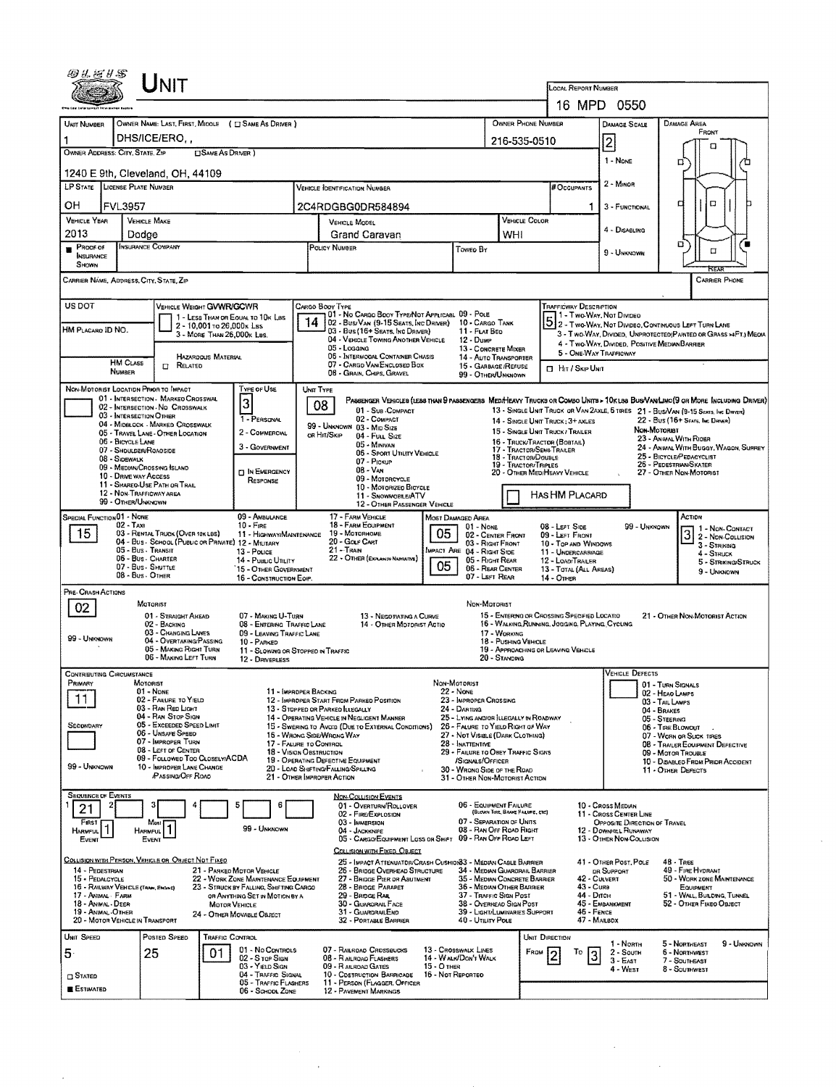|                                         |                                                              | ${\sf UnIT}$                                                          |                            |                                                                                |                                                                                                                                                                                               |                                                                                                                                            |                                               |                                                                            |                                            |                                                                      |                                                                                                 |                                                  |                                |                                                                                                                   |                                     |  |  |
|-----------------------------------------|--------------------------------------------------------------|-----------------------------------------------------------------------|----------------------------|--------------------------------------------------------------------------------|-----------------------------------------------------------------------------------------------------------------------------------------------------------------------------------------------|--------------------------------------------------------------------------------------------------------------------------------------------|-----------------------------------------------|----------------------------------------------------------------------------|--------------------------------------------|----------------------------------------------------------------------|-------------------------------------------------------------------------------------------------|--------------------------------------------------|--------------------------------|-------------------------------------------------------------------------------------------------------------------|-------------------------------------|--|--|
|                                         |                                                              |                                                                       |                            |                                                                                |                                                                                                                                                                                               |                                                                                                                                            |                                               |                                                                            |                                            |                                                                      | LOCAL REPORT NUMBER<br>16 MPD 0550                                                              |                                                  |                                |                                                                                                                   |                                     |  |  |
| <b>UNIT NUMBER</b>                      |                                                              |                                                                       |                            | OWNER NAME: LAST, FIRST, MICOLE ( I SAME AS DRIVER )                           |                                                                                                                                                                                               |                                                                                                                                            |                                               |                                                                            |                                            | OWNER PHONE NUMBER                                                   |                                                                                                 | DAMAGE SCALE                                     |                                | <b>DAMAGE AREA</b>                                                                                                |                                     |  |  |
|                                         |                                                              | DHS/ICE/ERO.,                                                         |                            |                                                                                |                                                                                                                                                                                               |                                                                                                                                            |                                               |                                                                            |                                            | 216-535-0510                                                         |                                                                                                 |                                                  |                                | FRONT                                                                                                             |                                     |  |  |
| <b>OWNER ADDRESS: CITY, STATE, ZIP</b>  |                                                              |                                                                       | <b>SAME AS DRIVER</b> )    |                                                                                |                                                                                                                                                                                               |                                                                                                                                            |                                               |                                                                            |                                            |                                                                      |                                                                                                 | 2                                                |                                | α                                                                                                                 |                                     |  |  |
|                                         |                                                              | 1240 E 9th, Cleveland, OH, 44109                                      |                            |                                                                                |                                                                                                                                                                                               |                                                                                                                                            |                                               |                                                                            |                                            |                                                                      |                                                                                                 | $1 - None$                                       |                                | ם                                                                                                                 |                                     |  |  |
| LP STATE LICENSE PLATE NUMBER           |                                                              |                                                                       |                            |                                                                                |                                                                                                                                                                                               | VEHICLE IDENTIFICATION NUMBER                                                                                                              |                                               |                                                                            |                                            |                                                                      | # Occupants                                                                                     | 2 - MINOR                                        |                                |                                                                                                                   |                                     |  |  |
| OН                                      | <b>FVL3957</b>                                               |                                                                       |                            |                                                                                | 2C4RDGBG0DR584894                                                                                                                                                                             |                                                                                                                                            |                                               |                                                                            |                                            |                                                                      | 1                                                                                               | 3 - FUNCTIONAL                                   | O<br>а                         |                                                                                                                   |                                     |  |  |
| <b>VEHICLE YEAR</b><br>VEHICLE MAKE     |                                                              |                                                                       |                            |                                                                                |                                                                                                                                                                                               | <b>VEHICLE MODEL</b>                                                                                                                       |                                               |                                                                            | VEHICLE COLOR                              |                                                                      | 4 - DISABLING                                                                                   |                                                  |                                |                                                                                                                   |                                     |  |  |
| 2013<br>PROOF OF                        | Dodae<br>INSURANCE COMPANY                                   |                                                                       |                            |                                                                                |                                                                                                                                                                                               | Grand Caravan<br>POLICY NUMBER                                                                                                             | Toweo By                                      | WHI                                                                        |                                            |                                                                      |                                                                                                 |                                                  | □<br>α                         |                                                                                                                   |                                     |  |  |
| <b>INSURANCE</b><br><b>SHOWN</b>        |                                                              |                                                                       |                            |                                                                                |                                                                                                                                                                                               |                                                                                                                                            |                                               |                                                                            |                                            |                                                                      |                                                                                                 | 9 - UNKNOWN                                      |                                |                                                                                                                   |                                     |  |  |
| CARRIER NAME, ADDRESS, CITY, STATE, ZIP |                                                              |                                                                       |                            |                                                                                |                                                                                                                                                                                               |                                                                                                                                            |                                               |                                                                            |                                            |                                                                      |                                                                                                 |                                                  |                                |                                                                                                                   | <b>CARRIER PHONE</b>                |  |  |
| <b>USDOT</b>                            |                                                              | VEHICLE WEIGHT GVWR/GCWR                                              |                            |                                                                                |                                                                                                                                                                                               | Cargo Booy Type                                                                                                                            |                                               |                                                                            |                                            |                                                                      | Trafficway Description                                                                          |                                                  |                                |                                                                                                                   |                                     |  |  |
| HM PLACARD ID NO.                       |                                                              |                                                                       | 2 - 10,001 то 26,000к Las  | 1 - LESS THAN OR EQUAL TO 10K LBS                                              | 14                                                                                                                                                                                            | 01 - No CARGO BOOY TYPE/NOT APPLICABL 09 - POLE<br>02 - Bus/Van (9-15 Seats, Inc Driver)<br>03 - Bus (16+ Seats, Inc Driver)               |                                               | 10 - CARGO TANK                                                            |                                            |                                                                      |                                                                                                 |                                                  |                                | 5 2 - Two Way, Not Divideo<br>5 2 - Two Way, Not Divideo, Continuous Left Turn Lane                               |                                     |  |  |
|                                         |                                                              |                                                                       | 3 - MORE THAN 26,000K LBS. |                                                                                |                                                                                                                                                                                               | 04 - VEHICLE TOWING ANOTHER VEHICLE<br>05 - Logging                                                                                        |                                               | 11 - FLAT BED<br>12 - Dump                                                 |                                            |                                                                      |                                                                                                 |                                                  |                                | 3 - Two-WAY, Divideo, UNPROTECTED (PAINTED OR GRASS > 4FT.) MEOIA<br>4 - Two-Way, Divided, Positive MediaNBARRIER |                                     |  |  |
|                                         | <b>HM CLASS</b>                                              | $\Box$ Related                                                        | HAZAROQUS MATERIAL         |                                                                                |                                                                                                                                                                                               | 06 - INTERMOOAL CONTAINER CHASIS<br>07 - CARGO VAN/ENCLOSED BOX                                                                            |                                               | 13 - CONCRETE MIXER<br>14 - AUTO TRANSPORTER<br>15 - GARBAGE/REFUSE        |                                            |                                                                      |                                                                                                 | 5 - ONE-WAY TRAFFICWAY                           |                                |                                                                                                                   |                                     |  |  |
|                                         | NUMBER                                                       |                                                                       |                            |                                                                                |                                                                                                                                                                                               | 08 - GRAIN, CHIPS, GRAVEL                                                                                                                  |                                               | 99 - OTHER/UNKNOWN                                                         |                                            |                                                                      | <b>El Hit / Skip Unit</b>                                                                       |                                                  |                                |                                                                                                                   |                                     |  |  |
| NON-MOTORIST LOCATION PRIOR TO IMPACT   |                                                              | 01 - INTERSECTION - MARKED CROSSWAL                                   |                            | TYPE OF USE                                                                    |                                                                                                                                                                                               | UNIT TYPE<br>PASSENGER VEHICLES (LESS THAN 9 PASSENGERS MEDIMEAVY TRUCKS OR COMBO UNITS > 10K LBS BUS/VAN/LIMO(9 OR MORE INCLUDING DRIVER) |                                               |                                                                            |                                            |                                                                      |                                                                                                 |                                                  |                                |                                                                                                                   |                                     |  |  |
|                                         | 03 - INTERSECTION OTHER                                      | 02 - INTERSECTION - NO CROSSWALK                                      |                            | 3<br>1 - PERSONAL                                                              |                                                                                                                                                                                               | 08<br>01 - Sun COMPACT<br>02 - COMPACT                                                                                                     |                                               |                                                                            |                                            |                                                                      |                                                                                                 |                                                  |                                | 13 - SINGLE UNIT TRUCK OR VAN 2AXLE, 6 TIRES 21 - BUS/VAN (9-15 SEATS, INC DRIVER)                                |                                     |  |  |
|                                         |                                                              | 04 - MIDSLOCK - MARKED CROSSWALK<br>05 - TRAVEL LANE - OTHER LOCATION |                            | 2 - COMMERCIAL                                                                 |                                                                                                                                                                                               | 99 - UNKNOWN 03 - MID SIZE<br>on Hit/Skip<br>04 - FULL SIZE                                                                                |                                               |                                                                            |                                            | 14 - SINGLE UNIT TRUCK; 3+ AXLES<br>15 - SINGLE UNIT TRUCK / TRAILER |                                                                                                 |                                                  | NON MOTORIST                   | 22 - Bus (16+ Sears, Inc Driver)                                                                                  |                                     |  |  |
|                                         | 06 - BICYCLE LANE<br>07 - SHOULDER/ROADSIDE                  |                                                                       |                            | 3 - GOVERNMENT                                                                 |                                                                                                                                                                                               | 05 - Minivan<br>06 - Sport UTILITY VEHICLE                                                                                                 |                                               |                                                                            |                                            | 17 - TRACTOR/SEMI-TRAEER                                             | 23 - ANWAL WITH RIOER<br>16 - TRUCK/TRACTOR (BOBTAIL)<br>24 - ANMAL WITH BUGGY, WAGON, SURREY   |                                                  |                                |                                                                                                                   |                                     |  |  |
|                                         | 08 - SIDEWALK<br>09 - MEDIAN/CROSSING ISLAND                 |                                                                       |                            |                                                                                |                                                                                                                                                                                               | 07 - Pickup<br>$08 - V_{AN}$                                                                                                               | 18 - TRACTOR/DOUBLE<br>19 - TRACTOR/TRIPLES   | 25 - BICYCLE/PEDACYCLIST<br>26 - PEDESTRIAN SKATER                         |                                            |                                                                      |                                                                                                 |                                                  |                                |                                                                                                                   |                                     |  |  |
|                                         | 10 - DRIVE WAY ACCESS                                        | 11 - SHAREO-USE PATH OR TRAIL                                         |                            | <b>D</b> IN EMERGENCY<br>RESPONSE                                              | 20 - Other MediHeavy Vehicle<br>09 - MOTORCYCLE<br>10 - MOTORIZEO BICYCLE                                                                                                                     |                                                                                                                                            |                                               |                                                                            |                                            |                                                                      |                                                                                                 |                                                  |                                | 27 - OTHER NON-MOTORIST                                                                                           |                                     |  |  |
|                                         | 12 - NON-TRAFFICWAY AREA<br>99 - OTHER/UNKNOWN               |                                                                       |                            |                                                                                | 11 - SNOWMOBLE/ATV<br>12 - OTHER PASSENGER VEHICLE                                                                                                                                            |                                                                                                                                            |                                               |                                                                            |                                            |                                                                      | HAS HM PLACARD                                                                                  |                                                  |                                |                                                                                                                   |                                     |  |  |
| <b>SPECIAL FUNCTION 01 - NONE</b>       |                                                              |                                                                       |                            | 09 - AMBULANCE                                                                 |                                                                                                                                                                                               | 17 - FARM VEHICLE                                                                                                                          |                                               | MOST DAMAGED AREA                                                          |                                            |                                                                      |                                                                                                 |                                                  |                                | ACTION                                                                                                            |                                     |  |  |
| 15                                      | $02 - TAXI$                                                  | 03 - RENTAL TRUCK (OVER 10K LBS)                                      |                            | $10 -$ FiRE<br>11 - HIGHWAY/MAINTENANCE                                        |                                                                                                                                                                                               | 18 - FARM EQUIPMENT<br>19 - Мотовноме                                                                                                      | 05                                            | 01 - NONE<br>02 - CENTER FRONT                                             |                                            |                                                                      | 08 - LEFT SIDE<br>09 - LEFT FRONT                                                               |                                                  | 99 - Unknown                   |                                                                                                                   | 1 - NON-CONTACT<br>3 2- Non-Contact |  |  |
|                                         | 05 - Bus - Transit                                           | 04 - Bus - SCHOOL (PUBLIC OR PRIVATE) 12 - MILITARY                   |                            | 13 - Pouce                                                                     |                                                                                                                                                                                               | 20 - GOLF CART<br>$21 -$ Train                                                                                                             | 03 - Right Front<br>MPACT ARE 04 - RIGHT SIDE |                                                                            | 10 - Top and Windows<br>11 - UNDERCARRIAGE | 3 - STRIKING<br>4 - Struck                                           |                                                                                                 |                                                  |                                |                                                                                                                   |                                     |  |  |
|                                         | 06 - Bus - Charter<br>07 - Bus - SHUTTLE<br>08 - Bus - OTHER |                                                                       |                            | 14 - Puslic UTILITY<br>15 - OTHER GOVERNMENT                                   |                                                                                                                                                                                               | 22 - OTHER (EXPLANIN NARRATIVE)                                                                                                            | 05                                            | 05 - RIGHT REAR<br>06 - REAR CENTER                                        |                                            |                                                                      | 12 - LOAD/TRAILER<br>13 - TOTAL (ALL AREAS)                                                     |                                                  |                                |                                                                                                                   | 5 - Striking/Struck<br>9 - Unknown  |  |  |
| PRE- CRASH ACTIONS                      |                                                              |                                                                       |                            | 16 - CONSTRUCTION EOIP.                                                        |                                                                                                                                                                                               |                                                                                                                                            |                                               | 07 - LEFT REAR                                                             |                                            | 14 - OTHER                                                           |                                                                                                 |                                                  |                                |                                                                                                                   |                                     |  |  |
| 02                                      |                                                              | MOTORIST                                                              |                            |                                                                                |                                                                                                                                                                                               |                                                                                                                                            |                                               | NDN-MOTORIST                                                               |                                            |                                                                      |                                                                                                 |                                                  |                                |                                                                                                                   |                                     |  |  |
|                                         |                                                              | 01 - STRAIGHT AHEAD<br>02 - BACKING                                   |                            | 07 - MAKING U-TURN<br>08 - ENTERING TRAFFIC LANE                               |                                                                                                                                                                                               | 13 - NEGOTIATING A CURVE<br>14 - OTHER MOTORIST ACTIO                                                                                      |                                               |                                                                            |                                            |                                                                      | 15 - ENTERING OR CROSSING SPECIFIED LOCATIO<br>16 - WALKING, RUNNING, JOGGING, PLAYING, CYCLING |                                                  |                                | 21 - OTHER NON-MOTORIST ACTION                                                                                    |                                     |  |  |
| 99 - UNKNOWN                            |                                                              | 03 - CHANGING LANES<br>04 - OVERTAKING/PASSING                        |                            | 09 - LEAVING TRAFFIC LANE<br>10 - PARKED                                       |                                                                                                                                                                                               |                                                                                                                                            |                                               |                                                                            | 17 - WORKING<br>18 - PUSHING VEHICLE       |                                                                      |                                                                                                 |                                                  |                                |                                                                                                                   |                                     |  |  |
|                                         |                                                              | 05 - MAKING RIGHT TURN<br>06 - MAKING LEFT TURN                       |                            | 11 - SLOWING OR STOPPED IN TRAFFIC<br>12 - DRIVERLESS                          |                                                                                                                                                                                               |                                                                                                                                            |                                               |                                                                            | 20 - STANDING                              | 19 - APPROACHING OR LEAVING VEHICLE                                  |                                                                                                 |                                                  |                                |                                                                                                                   |                                     |  |  |
| <b>CONTRIBUTING CIRCUMSTANCE</b>        |                                                              |                                                                       |                            |                                                                                |                                                                                                                                                                                               |                                                                                                                                            |                                               |                                                                            |                                            |                                                                      |                                                                                                 | VEHICLE DEFECTS                                  |                                |                                                                                                                   |                                     |  |  |
| Primary                                 | MOTORIST                                                     | $01 - N_{DNE}$                                                        |                            | 11 - IMPROPER BACKING                                                          |                                                                                                                                                                                               |                                                                                                                                            | NON-MOTORIST<br>22 - Nove                     |                                                                            |                                            |                                                                      |                                                                                                 |                                                  |                                | 01 - TURN SIGNALS<br>02 - HEAO LAMPS                                                                              |                                     |  |  |
| 11                                      |                                                              | 02 - FAILURE TO YIELD<br>03 - RAN RED LIGHT                           |                            |                                                                                |                                                                                                                                                                                               | 12 - IMPROPER START FROM PARKED POSITION<br>13 - STOPPED OR PARKED LLEGALLY                                                                |                                               | 23 - IMPROPER CROSSING<br>24 - DARTING                                     |                                            |                                                                      |                                                                                                 |                                                  | 03 - TAIL LAMPS<br>04 - BRAKES |                                                                                                                   |                                     |  |  |
| Secondary                               |                                                              | 04 - RAN STOP SIGN<br>05 - Exceeded Speed Limit<br>06 - UNSAFE SPEED  |                            |                                                                                |                                                                                                                                                                                               | 14 - OPERATING VEHICLE IN NEGLIGENT MANNER<br>15 - Swering to Avoid (DUE to External Conditions)                                           |                                               | 25 - LYING AND/OR LLEGALLY IN ROADWAY<br>26 - FALURE TO YIELD RIGHT OF WAY |                                            |                                                                      |                                                                                                 |                                                  | 05 - STEERING                  | 06 - TIRE BLOWOUT                                                                                                 |                                     |  |  |
|                                         |                                                              | 07 - IMPROPER TURN<br>08 - LEFT OF CENTER                             |                            | 17 - FALURE TO CONTROL                                                         |                                                                                                                                                                                               | 16 - WRONG SIDE/WRONG WAY                                                                                                                  |                                               | 27 - NOT VISIBLE (DARK CLOTHING)<br>28 - INATTENTIVE                       |                                            |                                                                      |                                                                                                 |                                                  |                                | 07 - WORN OR SLICK TIRES<br>08 - TRAILER EQUIPMENT DEFECTIVE                                                      |                                     |  |  |
| 99 - Unknown                            |                                                              | 09 - Followed Too Closelv/ACDA<br>10 - IMPROPER LANE CHANGE           |                            |                                                                                | 29 - FAILURE TO OBEY TRAFFIC SIGNS<br>18 - VISION OBSTRUCTION<br>19 - OPERATING DEFECTIVE EQUIPMENT<br>/SIGNALS/OFFICER<br>20 - LOAD SHIFTING/FALLING/SPILLING<br>30 - WRONG SIDE OF THE ROAD |                                                                                                                                            |                                               |                                                                            |                                            |                                                                      | 09 - MOTOR TROUBLE<br>10 - DISABLED FROM PRIOR ACCIDENT                                         |                                                  |                                |                                                                                                                   |                                     |  |  |
|                                         |                                                              | <b>PASSING/OFF ROAD</b>                                               |                            |                                                                                |                                                                                                                                                                                               | 21 - OTHER IMPROPER ACTION                                                                                                                 |                                               | 31 - OTHER NON-MOTORIST ACTION                                             |                                            |                                                                      |                                                                                                 |                                                  |                                | 11 - OTHER DEFECTS                                                                                                |                                     |  |  |
| <b>SEQUENCE OF EVENTS</b>               |                                                              |                                                                       |                            |                                                                                |                                                                                                                                                                                               | <b>NON-COLLISION EVENTS</b><br>01 - OVERTURN/ROLLOVER                                                                                      |                                               | 06 - EQUIPMENT FAILURE                                                     |                                            |                                                                      |                                                                                                 | 10 - Cross Median                                |                                |                                                                                                                   |                                     |  |  |
| 21<br>FIRST                             |                                                              | Most                                                                  |                            |                                                                                |                                                                                                                                                                                               | 02 - FIRE/EXPLOSION<br>03 - IMMERSION                                                                                                      |                                               | 07 - SEPARATION OF UNITS                                                   | (BLOWN TIRE, BRAKE FAILURE, ETC)           |                                                                      |                                                                                                 | 11 - Cross Center Line                           | OPPOSITE DIRECTION OF TRAVEL   |                                                                                                                   |                                     |  |  |
| <b>HARMFUL</b><br>EVENT                 | <b>HARMFUL</b>                                               | EVENT                                                                 |                            | 99 - UNKNOWN                                                                   |                                                                                                                                                                                               | 04 - JACKKNIFE<br>05 - CARGO/EQUIPMENT LOSS OR SHIFT 09 - RAN OFF ROAD LEFT                                                                |                                               | 08 - RAN OFF ROAD RIGHT                                                    |                                            |                                                                      |                                                                                                 | 12 - DOWNHEL RUNAWAY<br>13 - OTHER NON-COLLISION |                                |                                                                                                                   |                                     |  |  |
|                                         |                                                              |                                                                       |                            |                                                                                |                                                                                                                                                                                               | COLLISION WITH FIXED, OBJECT                                                                                                               |                                               |                                                                            |                                            |                                                                      |                                                                                                 |                                                  |                                |                                                                                                                   |                                     |  |  |
| 14 - PEDESTRIAN                         |                                                              | COLLISION WITH PERSON, VEHICLE OR OBJECT NOT FIXED                    |                            | 21 - PARKED MOTOR VEHICLE                                                      |                                                                                                                                                                                               | 25 - IMPACT ATTENUATOR/CRASH CUSHION33 - MEDIAN CABLE BARRIER<br>26 - BRIDGE OVERHEAD STRUCTURE                                            |                                               | 34 - MEDIAN GUARDRAIL BARRIER                                              |                                            |                                                                      |                                                                                                 | 41 - OTHER POST, POLE<br>DR SUPPORT              |                                | 48 - TREE<br>49 - FIRE HYDRANT                                                                                    |                                     |  |  |
| 15 - PEDALCYCLE                         | 16 - RAILWAY VEHICLE (TRAIN, ENGINE)                         |                                                                       |                            | 22 - WORK ZONE MAINTENANCE EQUIPMENT<br>23 - STRUCK BY FALLING, SHIFTING CARGO | 27 - BRIDGE PIER OR ASUTMENT<br>35 - MEDIAN CONCRETE BARRIER<br>28 - BRIDGE PARAPET<br>36 - MEDIAN OTHER BARRIER                                                                              |                                                                                                                                            |                                               |                                                                            |                                            |                                                                      | 42 - CULVERT<br>50 - WORK ZONE MAINTENANCE<br>43 - Cura<br>EQUIPMENT                            |                                                  |                                |                                                                                                                   |                                     |  |  |
| 17 AVIMAL FARM<br>18 - ANIMAL - DEER    |                                                              |                                                                       | MOTOR VEHICLE              | OR ANYTHING SET IN MOTION BY A                                                 |                                                                                                                                                                                               | 29 - BROGE RAIL<br>30 - GUARORAL FACE                                                                                                      |                                               | 37 - TRAFFIC SIGN POST<br>38 - OVERHEAD SIGN POST                          |                                            |                                                                      | 44 - Опсн                                                                                       | 45 - EMBANKMENT                                  |                                | 51 - WALL, BULONG, TUNNEL<br>52 - OTHER FIXEO OBJECT                                                              |                                     |  |  |
| 19 - ANIMAL-OTHER                       | 20 - MOTOR VEHICLE IN TRANSPORT                              |                                                                       |                            | 24 - Отнея МоvaвLE Оалест                                                      |                                                                                                                                                                                               | 31 - GUARDRAILEND<br>32 - PORTABLE BARRIER                                                                                                 |                                               | 39 - LIGHT/LUMINARIES SUPPORT<br>40 - UTILITY POLE                         |                                            |                                                                      | 46 - FENCE<br>47 - MARBOX                                                                       |                                                  |                                |                                                                                                                   |                                     |  |  |
| UNIT SPEED                              |                                                              | POSTED SPEED                                                          | TRAFFIC CONTROL            |                                                                                |                                                                                                                                                                                               |                                                                                                                                            |                                               |                                                                            |                                            | UNIT DIRECTION                                                       |                                                                                                 | 1 - North                                        |                                | 5 - Northeast                                                                                                     | 9 - UNKNDWN                         |  |  |
| 5                                       |                                                              | 25                                                                    | 01                         | 01 - No CONTROLS<br>02 - S TOP SIGN                                            |                                                                                                                                                                                               | 07 - RAILROAD CROSSBUCKS<br>08 - RAILROAD FLASHERS                                                                                         |                                               | 13 - Crosswalk LINES<br>14 - WALK/DON'T WALK                               |                                            | FROM                                                                 | To                                                                                              | $2 -$ South<br>$3 - East$                        |                                | 6 - NORTHWEST<br>7 - SOUTHEAST                                                                                    |                                     |  |  |
| $\Box$ Stated                           |                                                              |                                                                       |                            | 03 - Yield Sign<br>04 - TRAFFIC SIGNAL                                         |                                                                                                                                                                                               | 09 - RAILROAD GATES<br>10 - COSTRUCTION BARRICADE                                                                                          | <b>15 - O THER</b><br>16 - Not REPORTED       |                                                                            |                                            |                                                                      |                                                                                                 | 4 - West                                         |                                | 8 - Southwest                                                                                                     |                                     |  |  |
| <b>ESTIMATED</b>                        |                                                              |                                                                       |                            | 05 - Traffic Flashers<br>06 - School Zone                                      |                                                                                                                                                                                               | 11 - PERSON (FLAGGER, OFFICER<br>12 - PAVEMENT MARKINGS                                                                                    |                                               |                                                                            |                                            |                                                                      |                                                                                                 |                                                  |                                |                                                                                                                   |                                     |  |  |

 $\sim$ 

 $\hat{\mathcal{A}}$ 

 $\label{eq:2} \begin{split} \mathcal{L}_{\text{max}}(\mathbf{r}) = \mathcal{L}_{\text{max}}(\mathbf{r}) \,, \end{split}$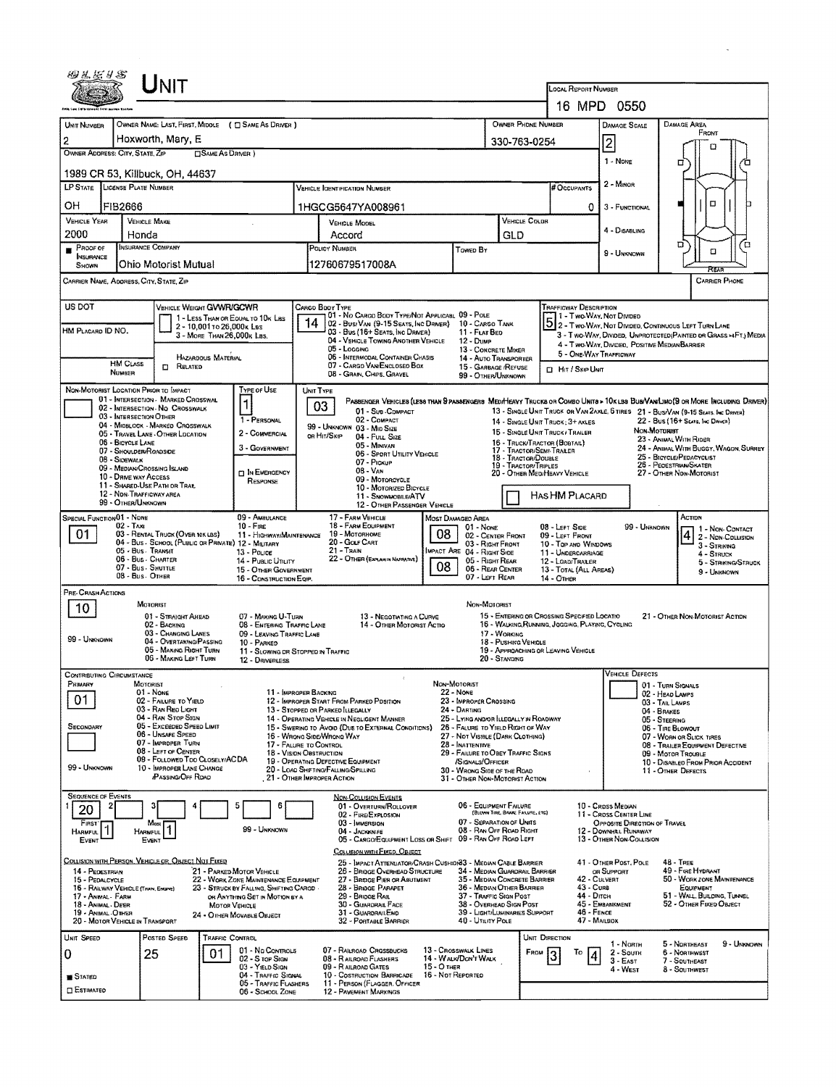|                                                           | Unit                                                                  |                                                                                 |                                                                                                                               |                                                               |                                                                       |                                                                                                                         |                                                                                                          |                                                                                                                             |                              |                                                                                                                             |  |  |  |  |
|-----------------------------------------------------------|-----------------------------------------------------------------------|---------------------------------------------------------------------------------|-------------------------------------------------------------------------------------------------------------------------------|---------------------------------------------------------------|-----------------------------------------------------------------------|-------------------------------------------------------------------------------------------------------------------------|----------------------------------------------------------------------------------------------------------|-----------------------------------------------------------------------------------------------------------------------------|------------------------------|-----------------------------------------------------------------------------------------------------------------------------|--|--|--|--|
|                                                           |                                                                       |                                                                                 |                                                                                                                               |                                                               |                                                                       |                                                                                                                         | LOCAL REPORT NUMBER                                                                                      | 16 MPD 0550                                                                                                                 |                              |                                                                                                                             |  |  |  |  |
|                                                           |                                                                       | OWNER NAME: LAST, FIRST, MIDDLE ( C SAME AS DRIVER )                            |                                                                                                                               |                                                               |                                                                       | OWNER PHONE NUMBER                                                                                                      |                                                                                                          |                                                                                                                             |                              | <b>DAMAGE AREA</b>                                                                                                          |  |  |  |  |
| UNIT NUMBER                                               | Hoxworth, Mary, E                                                     |                                                                                 |                                                                                                                               |                                                               |                                                                       |                                                                                                                         |                                                                                                          | DAMAGE SCALE                                                                                                                |                              | FRONT                                                                                                                       |  |  |  |  |
| $\overline{2}$<br>OWNER ADDRESS: CITY, STATE, ZIP         |                                                                       | <b>CISAME AS DRIVER</b> )                                                       |                                                                                                                               |                                                               |                                                                       | 330-763-0254                                                                                                            |                                                                                                          | 2                                                                                                                           |                              | n                                                                                                                           |  |  |  |  |
|                                                           | 1989 CR 53, Killbuck, OH, 44637                                       | 1 - Nove                                                                        |                                                                                                                               | □                                                             |                                                                       |                                                                                                                         |                                                                                                          |                                                                                                                             |                              |                                                                                                                             |  |  |  |  |
| LP STATE LICENSE PLATE NUMBER                             |                                                                       |                                                                                 | VEHICLE IDENTIFICATION NUMBER                                                                                                 |                                                               |                                                                       |                                                                                                                         | # OCCUPANTS                                                                                              | 2 - MINOR                                                                                                                   |                              |                                                                                                                             |  |  |  |  |
| ОН<br>FIB2666                                             |                                                                       |                                                                                 | 1HGCG5647YA008961                                                                                                             |                                                               |                                                                       |                                                                                                                         |                                                                                                          | 0<br>3 - FUNCTIONAL                                                                                                         |                              | □                                                                                                                           |  |  |  |  |
| <b>VEHICLE YEAR</b><br>2000                               | <b>VEHICLE MAKE</b><br>Honda                                          |                                                                                 | <b>VEHICLE MOOBL</b><br>Accord                                                                                                |                                                               | VEHICLE COLDR<br>GLD                                                  |                                                                                                                         | 4 - DISABLING                                                                                            |                                                                                                                             |                              |                                                                                                                             |  |  |  |  |
| PROOF OF<br><b>NSURANCE</b>                               | INSURANCE COMPANY                                                     |                                                                                 | POLICY NUMBER                                                                                                                 | <b>TOWED BY</b>                                               |                                                                       |                                                                                                                         | 9 - UNKNOWN                                                                                              |                                                                                                                             | ם<br>D<br>α                  |                                                                                                                             |  |  |  |  |
| SHOWN                                                     | Ohio Motorist Mutual                                                  |                                                                                 | 12760679517008A                                                                                                               |                                                               |                                                                       |                                                                                                                         |                                                                                                          |                                                                                                                             |                              | REA                                                                                                                         |  |  |  |  |
| CARRIER NAME, ADDRESS, CITY, STATE, ZIP                   |                                                                       |                                                                                 |                                                                                                                               |                                                               |                                                                       |                                                                                                                         |                                                                                                          |                                                                                                                             |                              | <b>CARRIER PHONE</b>                                                                                                        |  |  |  |  |
| US DOT                                                    |                                                                       | VEHICLE WEIGHT GVWR/GCWR                                                        | CARGO BOOY TYPE                                                                                                               |                                                               |                                                                       |                                                                                                                         | <b>TRAFFICWAY DESCRIPTION</b>                                                                            |                                                                                                                             |                              |                                                                                                                             |  |  |  |  |
| HM PLACARD ID NO.                                         |                                                                       | 1 - LESS THAN OR EQUAL TO 10K LBS<br>2 - 10,001 To 26,000 k Les                 | 01 - No CARGO BODY TYPE/NOT APPLICABL 09 - POLE<br>02 - Busi Van (9-15 Seats, Inc Driver)<br>03 - Bus (16+ Seats, Inc DRIVER) |                                                               | 10 - CARGO TANK<br>11 - FLAT BED                                      |                                                                                                                         |                                                                                                          | 1 - Two-Way, Not Divided                                                                                                    |                              | 2 - Two WAY, NOT DIVIDEO, CONTINUOUS LEFT TURN LANE                                                                         |  |  |  |  |
|                                                           |                                                                       | 3 - MORE THAN 26,000K LBS.                                                      | 04 - VEHICLE TOWING ANOTHER VEHICLE<br>05 - Loccinc                                                                           |                                                               | <b>12 - DUMP</b><br>13 - CONCRETE MIXER                               |                                                                                                                         |                                                                                                          | 4 - Two-Way, Divideo, Positive Median Barrier                                                                               |                              | 3 - T WO-WAY, DIVIDED, UNPROTECTED (PAINTED OR GRASS >4FT.) MEDIA                                                           |  |  |  |  |
| <b>HM CLASS</b>                                           | $\Box$ Related                                                        | HAZARDOUS MATERIAL                                                              | 06 - INTERMODAL CONTAINER CHASIS<br>07 - CARGO VAN/ENCLOSEO BOX                                                               |                                                               | <b>14 - AUTO TRANSPORTER</b><br>15 - GARBAGE /REFUSE                  |                                                                                                                         |                                                                                                          | 5 - ONE-WAY TRAFFICWAY                                                                                                      |                              |                                                                                                                             |  |  |  |  |
| NUMBER                                                    |                                                                       |                                                                                 | 08 - Gran, Chips, Grayel                                                                                                      |                                                               | 99 - OTHER/UNKNOWN                                                    |                                                                                                                         | Hit / Skip UNIT                                                                                          |                                                                                                                             |                              |                                                                                                                             |  |  |  |  |
| NON-MOTORIST LOCATION PRIOR TO IMPACT                     | 01 - INTERSECTION - MARKED CROSSWAL                                   | Type or Use<br>1                                                                | UNIT TYPE                                                                                                                     |                                                               |                                                                       |                                                                                                                         |                                                                                                          |                                                                                                                             |                              | PABBENGER VEHICLES (LESS THAN SPASSENGERS MED/HEAVY TRUCKS OR COMBO UNITS > 10KLBS BUS/VAN/LIMO(S OR MORE INCLUDING DRIVER) |  |  |  |  |
|                                                           | 02 - INTERSECTION - NO CROSSWALK<br>03 - INTERSECTION OTHER           | 1 - PERSONAL                                                                    | 03<br>01 - Sub - CDMPACT<br>02 - COMPACT                                                                                      |                                                               |                                                                       |                                                                                                                         |                                                                                                          |                                                                                                                             |                              | 13 - SINGLE UNIT TRUCK OR VAN 2AXLE, 6 TIRES 21 - BUS/VAN (9-15 SEATS, INC DRIVER)                                          |  |  |  |  |
|                                                           | 04 - MIDBLOCK - MARKED CROSSWALK<br>05 - TRAVEL LANE - OTHER LOCATION | 2 - COMMERCIAL                                                                  | 99 - UNKNOWN 03 - MID SIZE<br>OR HIT/SKIP<br>04 - Futt, Size                                                                  |                                                               |                                                                       |                                                                                                                         |                                                                                                          | 22 - Bus (16+ Seats, Inc Driver)<br>14 - SINGLE UNIT TRUCK: 3+ AXLES<br>Non-Mororust<br>15 - SINGLE UNIT TRUCK / TRAILER    |                              |                                                                                                                             |  |  |  |  |
| 06 - BICYCLE LANE                                         | 07 - SHOULDER/ROADSIDE                                                | 3 - GOVERNMENT                                                                  | 05 - MINIVAN                                                                                                                  | 06 - SPORT UTILITY VEHICLE                                    |                                                                       |                                                                                                                         | 17 - TRACTOR/SEMI-TRALER                                                                                 | 23 - ANIMAL WITH RIDER<br>16 - TRUCK/TRACTOR (BOBTAIL)<br>24 - ANIMAL WITH BUGGY, WAGON, SURREY<br>25 - BICYCLE/PEDACYCLIST |                              |                                                                                                                             |  |  |  |  |
| 08 - SIDEWALK                                             | 09 - MEDIAN/CROSSING ISLAND                                           | <sup>1</sup> In EMERGENCY                                                       | 07 - Pickup<br>$08 - V_{AN}$                                                                                                  |                                                               |                                                                       | 19 - TRACTOR/TRIPLES                                                                                                    | 18 - TRACTOR/DOUBLE<br>26 - PEDESTRIAN/SKATER<br>20 - OTHER MEDIMEAVY VEHICLE<br>27 - OTHER NON-MOTORIST |                                                                                                                             |                              |                                                                                                                             |  |  |  |  |
|                                                           | 10 - DRME WAY ACCESS<br>11 - SHARED-USE PATH OR TRAIL                 | RESPONSE                                                                        | 09 - MOTORCYCLE                                                                                                               | 10 - MOTORIZED BICYCLE                                        |                                                                       |                                                                                                                         |                                                                                                          |                                                                                                                             |                              |                                                                                                                             |  |  |  |  |
|                                                           | 12 - NDN-TRAFFICWAY AREA<br>99 - OTHER/UNKNOWN                        |                                                                                 | 11 - SNOWMOBILE/ATV<br>12 - OTHER PASSENGER VEHICLE                                                                           |                                                               |                                                                       | HAS HM PLACARD                                                                                                          |                                                                                                          |                                                                                                                             |                              |                                                                                                                             |  |  |  |  |
| SPECIAL FUNCTION 01 - NONE                                | $02 - TAXI$                                                           | 09 - AMBULANCE<br>$10 -$ Fine                                                   | 17 - FARM VEHICLE<br>18 - FARM EQUIPMENT                                                                                      |                                                               | Most Damageo Area<br>01 - None                                        |                                                                                                                         | 08 - LEFT SIDE                                                                                           |                                                                                                                             | 99 - Unknown                 | Астюм<br>1 - Non-Contact                                                                                                    |  |  |  |  |
| 01                                                        | 03 - RENTAL TRUCK (OVER 10K LBS)                                      | 11 - HIGHWAY/MAINTENANCE<br>04 - Bus - School (Public or Private) 12 - Military | 19 - Мотояноме<br>20 - GOLF CART                                                                                              | 08                                                            |                                                                       | 09 - LEFT FRONT<br>4 2 - NON-COLLISION<br>02 - CENTER FRONT<br>03 - RIGHT FRONT<br>10 - Top and Windows<br>3 - STRIKING |                                                                                                          |                                                                                                                             |                              |                                                                                                                             |  |  |  |  |
|                                                           | 05 - Bus - Transit<br>06 - Bus - Charter                              | 13 - Pouce<br>14 - Puscic UTAJTY                                                | 21 - TRAIN<br>22 - OTHER (EXPLANIN NAPPARWE)                                                                                  |                                                               | MPACT ARE 04 - RIGHT SIDE                                             | 11 - UNDERCARRIAGE<br>4 - STRUCK<br>05 - RIGHT REAR<br>12 - LOAD/TRAILER                                                |                                                                                                          |                                                                                                                             |                              |                                                                                                                             |  |  |  |  |
|                                                           | 07 - Bus - SHUTTLE<br>08 - Bus - OTHER                                | 15 - OTHER GOVERNMENT<br>16 - CONSTRUCTION EGIP.                                |                                                                                                                               | 08                                                            | 06 - REAR CENTER<br>07 - LEFT REAR                                    |                                                                                                                         | 13 - TOTAL (ALL AREAS)<br>$14 -$ OTHER                                                                   |                                                                                                                             |                              | 5 - STRIKING/STRUCK<br>9 - UNKNOWN                                                                                          |  |  |  |  |
| PRE-CRASH ACTIONS                                         |                                                                       |                                                                                 |                                                                                                                               |                                                               |                                                                       |                                                                                                                         |                                                                                                          |                                                                                                                             |                              |                                                                                                                             |  |  |  |  |
| 10                                                        | <b>MOTORIST</b><br>01 - STRAIGHT AHEAD                                | 07 - MAKING U-TURN                                                              |                                                                                                                               |                                                               | NON-MOTORIST                                                          |                                                                                                                         | 15 - ENTERING OR CROSSING SPECIFIED LOCATIO                                                              |                                                                                                                             |                              | 21 - OTHER NON-MOTORIST ACTION                                                                                              |  |  |  |  |
|                                                           | 02 - BACKING<br>03 - CHANGING LANES                                   | 08 - ENTERING TRAFFIC LANE<br>09 - LEAVING TRAFFIC LANE                         |                                                                                                                               | 13 - NEGOTIATING A CURVE<br>14 - OTHER MOTORIST ACTIO         |                                                                       | 17 - WORKING                                                                                                            | 16 - WALKING, RUNNING, JOGGING, PLAYING, CYCLING                                                         |                                                                                                                             |                              |                                                                                                                             |  |  |  |  |
| 99 - UNKNOWN                                              | 04 - OVERTAKING/PASSING<br>05 - MARING RIGHT TURN                     | 10 - PARKED                                                                     | 11 - SLOWING OR STOPPED IN TRAFFIC                                                                                            |                                                               |                                                                       | 18 - PUSHING VEHICLE                                                                                                    | 19 - APPROACHING OR LEAVING VEHICLE                                                                      |                                                                                                                             |                              |                                                                                                                             |  |  |  |  |
|                                                           | 06 - MAKING LEFT TURN                                                 | 12 - DRIVERLESS                                                                 |                                                                                                                               |                                                               |                                                                       | 20 - Standing                                                                                                           |                                                                                                          |                                                                                                                             |                              |                                                                                                                             |  |  |  |  |
| <b>CONTRIBUTING CIRCUMSTANCE</b><br>PRIMARY               | MOTORIST                                                              |                                                                                 |                                                                                                                               | NON MOTORIST                                                  |                                                                       |                                                                                                                         |                                                                                                          |                                                                                                                             | <b>VEHICLE DEFECTS</b>       | 01 - TURN SIGNALS                                                                                                           |  |  |  |  |
| 01                                                        | $01 - None$<br>02 - FAILURE TO YIELD                                  |                                                                                 | 11 - IMPROPER BACKING<br>12 - IMPROPER START FROM PARKED POSITION                                                             | 22 - Nove                                                     | 23 - IMPROPER CROSSING                                                |                                                                                                                         |                                                                                                          |                                                                                                                             |                              | 02 - HEAD LAMPS<br>03 - TAIL LAMPS                                                                                          |  |  |  |  |
|                                                           | 03 - RAN REO LIGHT<br>04 - Ran Stop Sign                              |                                                                                 | 13 - Stopped or Parked Llegally<br>14 - OPERATING VEHICLE IN NEGLIGENT MANNER                                                 |                                                               | 24 - DARTING<br>25 - LYING AND/OR LLEGALLY IN ROADWAY                 |                                                                                                                         |                                                                                                          |                                                                                                                             | 04 - BRAKES<br>05 - STEERING |                                                                                                                             |  |  |  |  |
| SECONDARY                                                 | 05 - Excesped Speso Limit<br>06 - Unsafe Speed                        |                                                                                 | 15 - Swering to Avoid (Due to External Conditions)<br>16 - WRONG SIDE/WRONG WAY                                               |                                                               | 26 - FALURE TO YIELD RIGHT OF WAY<br>27 - NOT VISIBLE (DARK CLOTHING) |                                                                                                                         |                                                                                                          |                                                                                                                             |                              | 06 - TIRE BLOWOUT<br>07 - WORN OR SLICK TIRES                                                                               |  |  |  |  |
|                                                           | 07 - IMPROPER TURN<br>08 - LEFT OF CENTER                             |                                                                                 | 17 - FALURE TO CONTROL<br>18 - VISION OBSTRUCTION                                                                             |                                                               | 28 - INATTENTIVE<br>29 - FAILURE TO OBEY TRAFFIC SIGNS                |                                                                                                                         |                                                                                                          |                                                                                                                             |                              | 08 - TRAILER EQUIPMENT DEFECTIVE<br>09 - MOTOR TROUBLE                                                                      |  |  |  |  |
| 99 - UNKNOWN                                              | 09 - Followed Too Closely/ACDA<br>10 - IMPROPER LANE CHANGE           |                                                                                 | 19 - OPERATING DEFECTIVE EQUIPMENT<br>20 - LOAD SHIFTING/FALLING/SPILLING                                                     | /SIGNALS/OFFICER<br>30 - WRONG SIDE OF THE ROAD               |                                                                       | 10 - DISABLED FROM PRIOR ACCIDENT<br>11 - OTHER DEFECTS                                                                 |                                                                                                          |                                                                                                                             |                              |                                                                                                                             |  |  |  |  |
|                                                           | PASSING/OFF ROAD                                                      |                                                                                 | 21 - OTHER IMPROPER ACTION                                                                                                    |                                                               | 31 - OTHER NON-MOTORIST ACTION                                        |                                                                                                                         |                                                                                                          |                                                                                                                             |                              |                                                                                                                             |  |  |  |  |
| <b>SEQUENCE OF EVENTS</b><br>20                           |                                                                       | 5<br>6                                                                          | <b>NON-COLLISION EVENTS</b><br>01 - OVERTURN/ROLLOVER                                                                         |                                                               | 06 - EQUIPMENT FAILURE                                                |                                                                                                                         |                                                                                                          | 10 - Cross Median                                                                                                           |                              |                                                                                                                             |  |  |  |  |
| FIRST                                                     | Most                                                                  |                                                                                 | 02 - FIRE/EXPLOSION<br>03 - IMMERSION                                                                                         |                                                               | 07 - SEPARATION OF UNITS                                              | (BLOWN TIRE, BRAKE FAILURE, ETC)                                                                                        |                                                                                                          | 11 - CROSS CENTER LINE                                                                                                      | OPPOSITE DIRECTION OF TRAVEL |                                                                                                                             |  |  |  |  |
| <b>HARMFUL</b><br>EVENT                                   | HARMFUL<br>EVENT                                                      | 99 - Unknown                                                                    | 04 - JACKKNIFE                                                                                                                | 05 - CARGO/EQUIPMENT LOSS OR SHIFT 09 - RAN OFF ROAD LEFT     | 08 - RAN OFF ROAD RIGHT                                               |                                                                                                                         |                                                                                                          | 12 - DOWNHILL RUNAWAY<br>13 - OTHER NON-COLLISION                                                                           |                              |                                                                                                                             |  |  |  |  |
|                                                           | COLLISION WITH PERSON, VEHICLE OR OBJECT NOT FIXED                    |                                                                                 | COLLEION WITH FIXED, OBJECT                                                                                                   | 25 - IMPACT ATTENUATOR/CRASH CUSHION33 - MEDIAN CABLE BARRIER |                                                                       |                                                                                                                         |                                                                                                          | 41 - OTHER POST, POLE                                                                                                       |                              | $48 -$ TREE                                                                                                                 |  |  |  |  |
| 14 - PEDESTRIAN<br>15 - PEDALCYCLE                        |                                                                       | 21 - PARKED MOTOR VEHICLE<br>22 - WORK ZONE MAINTENANCE EQUIPMENT               | 26 - BRIDGE OVERHEAD STRUCTURE<br>27 - BRIDGE PIER OR ABUTMENT                                                                |                                                               | 34 - MEDIAN GUARDRAIL BARRIER<br>35 - MEDIAN CONCRETE BARRIER         |                                                                                                                         |                                                                                                          | OR SUPPORT<br>42 - CULVERT                                                                                                  |                              | 49 - FIRE HYDRANT<br>50 - WORKZONE MAINTENANCE                                                                              |  |  |  |  |
| 16 - RAILWAY VEHICLE (TRAIN, ENGINE)<br>17 - Anmal - Farm |                                                                       | 23 - STRUCK BY FALLING, SHIFTING CARGO -<br>OR ANYTHING SET IN MOTION BY A      | 28 - BRIOGE PARAPET<br>29 - BRIDGE RAIL                                                                                       |                                                               | 36 - MEDIAN OTHER BARRIER<br>37 - TRAFFIC SIGN POST                   |                                                                                                                         |                                                                                                          | $43 - C$ URB<br>44 - Ditch                                                                                                  |                              | EQUIPMENT<br>51 - WALL, BUILDING, TUNNEL                                                                                    |  |  |  |  |
| 18 - Animal Deer<br>19 - Animal Other                     |                                                                       | <b>MOTOR VEHICLE</b><br>24 - OTHER MOVABLE OBJECT                               | 30 - GUARDRAIL FACE<br>31 - GUARDRAILEND                                                                                      | 38 - Overhead Sign Post<br>39 - LIGHT/LUMINARIES SUPPORT      |                                                                       | 45 - EMBANKMENT<br>46 - FENCE                                                                                           |                                                                                                          | 52 - OTHER FIXED OBJECT                                                                                                     |                              |                                                                                                                             |  |  |  |  |
| 20 - MOTOR VEHICLE IN TRANSPORT                           |                                                                       |                                                                                 | 32 - PORTABLE BARRIER                                                                                                         |                                                               | 40 - UTILITY POLE                                                     |                                                                                                                         |                                                                                                          | 47 - MAILBOX                                                                                                                |                              |                                                                                                                             |  |  |  |  |
| UNIT SPEED                                                | Posted Speed                                                          | <b>TRAFFIC CONTROL</b><br>01 - No Controls                                      | 07 - RAILROAD CROSSBUCKS                                                                                                      |                                                               | 13 - Crosswalk LINES                                                  |                                                                                                                         | UNIT DIRECTION                                                                                           | 1 - North                                                                                                                   |                              | 5 - NORTHEAST<br>9 - Unknown                                                                                                |  |  |  |  |
| 0                                                         | 25                                                                    | 01<br>02 - S TOP SIGN<br>03 - YIELD SIGN                                        | 08 - RAILROAD FLASHERS<br>09 - RAILROAD GATES                                                                                 | 15 - О тнев                                                   | <b>14 - WALK/DON'T WALK</b>                                           |                                                                                                                         | FROM<br>To                                                                                               | 2 - Soum<br>$3 - EAST$                                                                                                      |                              | 6 - NORTHWEST<br>7 - SOUTHEAST                                                                                              |  |  |  |  |
| <b>STATED</b>                                             |                                                                       | 04 - TRAFFIC SIGNAL<br>05 - TRAFFIC FLASHERS                                    | 10 - COSTRUCTION BARRICADE<br>11 - PERSON (FLAGGER, OFFICER                                                                   | 16 - Not Reported                                             |                                                                       |                                                                                                                         |                                                                                                          | 4 - West                                                                                                                    |                              | 8 - SOUTHWEST                                                                                                               |  |  |  |  |
| <b>ESTIMATED</b>                                          |                                                                       | 06 - School Zone                                                                | 12 - PAVEMENT MARKINGS                                                                                                        |                                                               |                                                                       |                                                                                                                         |                                                                                                          |                                                                                                                             |                              |                                                                                                                             |  |  |  |  |

 $\mathcal{L}^{\text{max}}_{\text{max}}$  . The  $\mathcal{L}^{\text{max}}_{\text{max}}$